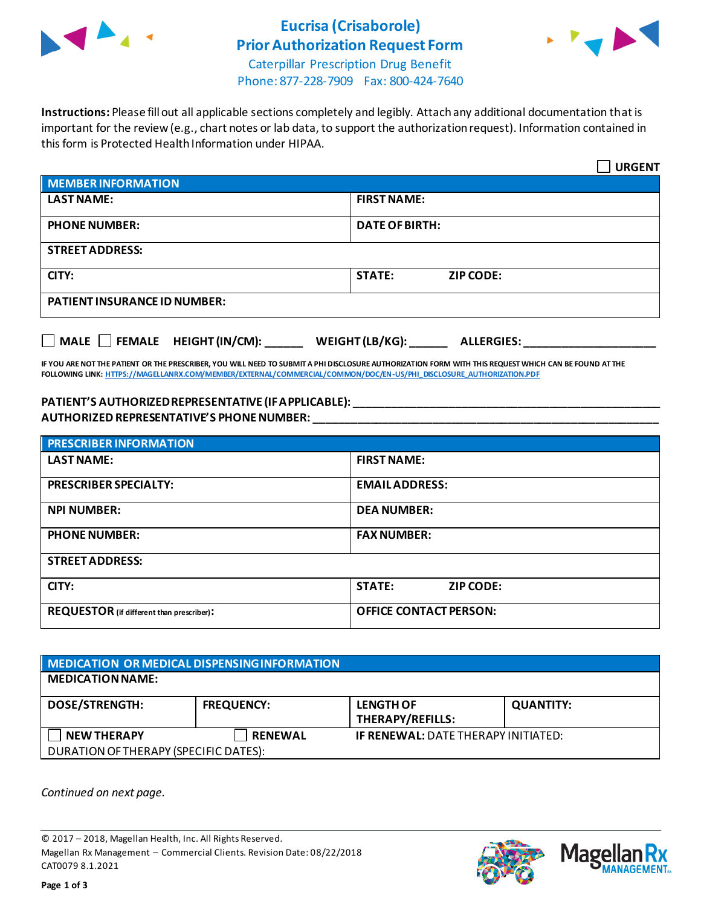

## **Eucrisa (Crisaborole) Prior Authorization Request Form**



Caterpillar Prescription Drug Benefit Phone: 877-228-7909 Fax: 800-424-7640

**Instructions:** Please fill out all applicable sections completely and legibly. Attach any additional documentation that is important for the review (e.g., chart notes or lab data, to support the authorization request). Information contained in this form is Protected Health Information under HIPAA.

|                                                                                   | <b>URGENT</b>                     |  |
|-----------------------------------------------------------------------------------|-----------------------------------|--|
| <b>MEMBER INFORMATION</b>                                                         |                                   |  |
| <b>LAST NAME:</b>                                                                 | <b>FIRST NAME:</b>                |  |
| <b>PHONE NUMBER:</b>                                                              | <b>DATE OF BIRTH:</b>             |  |
| <b>STREET ADDRESS:</b>                                                            |                                   |  |
| CITY:                                                                             | <b>STATE:</b><br><b>ZIP CODE:</b> |  |
| <b>PATIENT INSURANCE ID NUMBER:</b>                                               |                                   |  |
| $\Box$ MALE $\Box$ FEMALE HEIGHT (IN/CM):<br>WEIGHT (LB/KG):<br><b>ALLERGIES:</b> |                                   |  |

**IF YOU ARE NOT THE PATIENT OR THE PRESCRIBER, YOU WILL NEED TO SUBMIT A PHI DISCLOSURE AUTHORIZATION FORM WITH THIS REQUEST WHICH CAN BE FOUND AT THE FOLLOWING LINK[: HTTPS://MAGELLANRX.COM/MEMBER/EXTERNAL/COMMERCIAL/COMMON/DOC/EN-US/PHI\\_DISCLOSURE\\_AUTHORIZATION.PDF](https://magellanrx.com/member/external/commercial/common/doc/en-us/PHI_Disclosure_Authorization.pdf)**

#### **PATIENT'S AUTHORIZED REPRESENTATIVE (IF APPLICABLE): \_\_\_\_\_\_\_\_\_\_\_\_\_\_\_\_\_\_\_\_\_\_\_\_\_\_\_\_\_\_\_\_\_\_\_\_\_\_\_\_\_\_\_\_\_\_\_\_\_ AUTHORIZED REPRESENTATIVE'S PHONE NUMBER: \_\_\_\_\_\_\_\_\_\_\_\_\_\_\_\_\_\_\_\_\_\_\_\_\_\_\_\_\_\_\_\_\_\_\_\_\_\_\_\_\_\_\_\_\_\_\_\_\_\_\_\_\_\_\_**

| <b>PRESCRIBER INFORMATION</b>             |                                   |  |  |
|-------------------------------------------|-----------------------------------|--|--|
| <b>LAST NAME:</b>                         | <b>FIRST NAME:</b>                |  |  |
| <b>PRESCRIBER SPECIALTY:</b>              | <b>EMAIL ADDRESS:</b>             |  |  |
| <b>NPI NUMBER:</b>                        | <b>DEA NUMBER:</b>                |  |  |
| <b>PHONE NUMBER:</b>                      | <b>FAX NUMBER:</b>                |  |  |
| <b>STREET ADDRESS:</b>                    |                                   |  |  |
| CITY:                                     | <b>STATE:</b><br><b>ZIP CODE:</b> |  |  |
| REQUESTOR (if different than prescriber): | <b>OFFICE CONTACT PERSON:</b>     |  |  |

### **MEDICATION OR MEDICAL DISPENSING INFORMATION MEDICATION NAME: DOSE/STRENGTH: FREQUENCY: LENGTH OF THERAPY/REFILLS: QUANTITY: NEW THERAPY RENEWAL IF RENEWAL:** DATE THERAPY INITIATED: DURATION OF THERAPY (SPECIFIC DATES):

*Continued on next page.*

© 2017 – 2018, Magellan Health, Inc. All Rights Reserved. Magellan Rx Management – Commercial Clients. Revision Date: 08/22/2018 CAT0079 8.1.2021



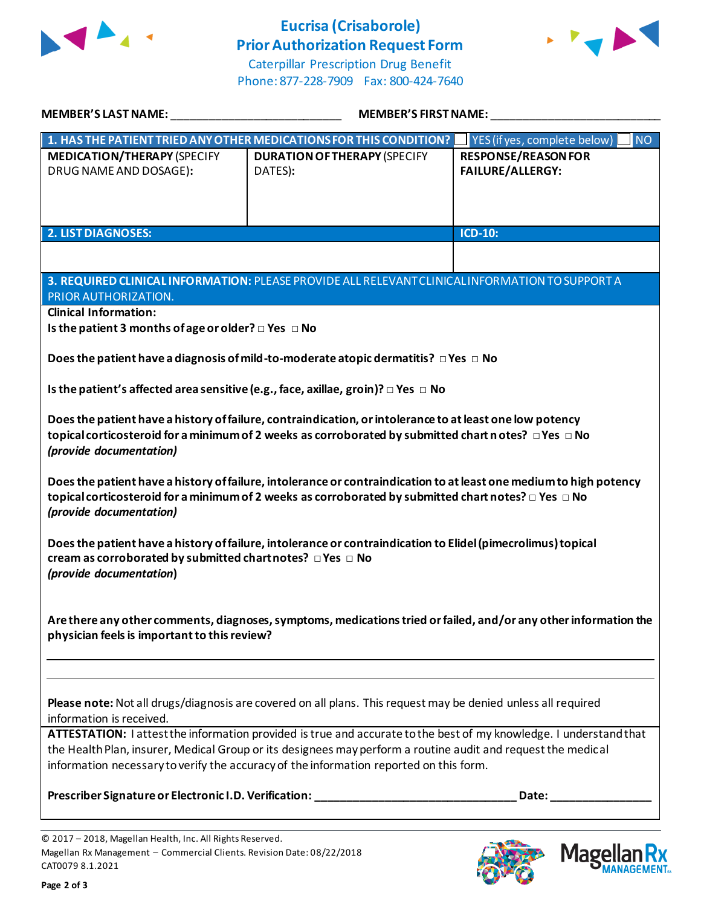

# **Eucrisa (Crisaborole) Prior Authorization Request Form**



Caterpillar Prescription Drug Benefit Phone: 877-228-7909 Fax: 800-424-7640

| MEMBER'S LAST NAME:                                                                                                                                                                                                                                                                                                                                                                                                                                                       | <b>MEMBER'S FIRST NAME:</b>                                        |                                                       |  |
|---------------------------------------------------------------------------------------------------------------------------------------------------------------------------------------------------------------------------------------------------------------------------------------------------------------------------------------------------------------------------------------------------------------------------------------------------------------------------|--------------------------------------------------------------------|-------------------------------------------------------|--|
|                                                                                                                                                                                                                                                                                                                                                                                                                                                                           | 1. HAS THE PATIENT TRIED ANY OTHER MEDICATIONS FOR THIS CONDITION? | YES (if yes, complete below)<br>N <sub>O</sub>        |  |
| <b>MEDICATION/THERAPY (SPECIFY</b><br>DRUG NAME AND DOSAGE):                                                                                                                                                                                                                                                                                                                                                                                                              | <b>DURATION OF THERAPY (SPECIFY</b><br>DATES):                     | <b>RESPONSE/REASON FOR</b><br><b>FAILURE/ALLERGY:</b> |  |
|                                                                                                                                                                                                                                                                                                                                                                                                                                                                           |                                                                    |                                                       |  |
| 2. LIST DIAGNOSES:                                                                                                                                                                                                                                                                                                                                                                                                                                                        |                                                                    | <b>ICD-10:</b>                                        |  |
|                                                                                                                                                                                                                                                                                                                                                                                                                                                                           |                                                                    |                                                       |  |
| 3. REQUIRED CLINICAL INFORMATION: PLEASE PROVIDE ALL RELEVANT CLINICAL INFORMATION TO SUPPORT A<br>PRIOR AUTHORIZATION.                                                                                                                                                                                                                                                                                                                                                   |                                                                    |                                                       |  |
| <b>Clinical Information:</b>                                                                                                                                                                                                                                                                                                                                                                                                                                              |                                                                    |                                                       |  |
| Is the patient 3 months of age or older? $\square$ Yes $\square$ No                                                                                                                                                                                                                                                                                                                                                                                                       |                                                                    |                                                       |  |
| Does the patient have a diagnosis of mild-to-moderate atopic dermatitis? $\Box$ Yes $\Box$ No                                                                                                                                                                                                                                                                                                                                                                             |                                                                    |                                                       |  |
| Is the patient's affected area sensitive (e.g., face, axillae, groin)? $\Box$ Yes $\Box$ No                                                                                                                                                                                                                                                                                                                                                                               |                                                                    |                                                       |  |
| Does the patient have a history of failure, contraindication, or intolerance to at least one low potency<br>topical corticosteroid for a minimum of 2 weeks as corroborated by submitted chart n otes? $\Box$ Yes $\Box$ No<br>(provide documentation)                                                                                                                                                                                                                    |                                                                    |                                                       |  |
| Does the patient have a history of failure, intolerance or contraindication to at least one medium to high potency<br>topical corticosteroid for a minimum of 2 weeks as corroborated by submitted chart notes? $\Box$ Yes $\Box$ No<br>(provide documentation)                                                                                                                                                                                                           |                                                                    |                                                       |  |
| Does the patient have a history of failure, intolerance or contraindication to Elidel (pimecrolimus) topical<br>cream as corroborated by submitted chartnotes? $\Box$ Yes $\Box$ No<br>(provide documentation)                                                                                                                                                                                                                                                            |                                                                    |                                                       |  |
| Are there any other comments, diagnoses, symptoms, medications tried or failed, and/or any other information the<br>physician feels is important to this review?                                                                                                                                                                                                                                                                                                          |                                                                    |                                                       |  |
|                                                                                                                                                                                                                                                                                                                                                                                                                                                                           |                                                                    |                                                       |  |
| Please note: Not all drugs/diagnosis are covered on all plans. This request may be denied unless all required<br>information is received.<br>ATTESTATION: I attest the information provided is true and accurate to the best of my knowledge. I understand that<br>the Health Plan, insurer, Medical Group or its designees may perform a routine audit and request the medical<br>information necessary to verify the accuracy of the information reported on this form. |                                                                    |                                                       |  |
|                                                                                                                                                                                                                                                                                                                                                                                                                                                                           |                                                                    |                                                       |  |
|                                                                                                                                                                                                                                                                                                                                                                                                                                                                           |                                                                    |                                                       |  |



**Mage** 

Кx **ANAGEMENT**<sub>SM</sub>

<sup>© 2017</sup> – 2018, Magellan Health, Inc. All Rights Reserved. Magellan Rx Management – Commercial Clients. Revision Date: 08/22/2018 CAT0079 8.1.2021